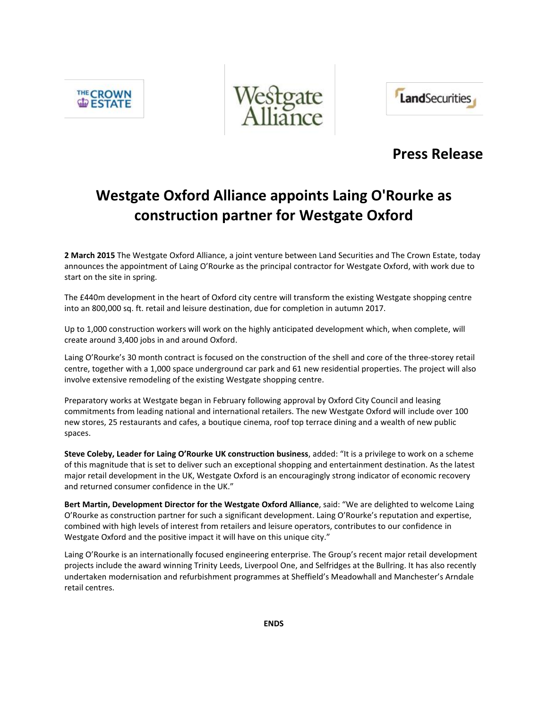**THE CROWN** 





## **Press Release**

# **Westgate Oxford Alliance appoints Laing O'Rourke as construction partner for Westgate Oxford**

**2 March 2015** The Westgate Oxford Alliance, a joint venture between Land Securities and The Crown Estate, today announces the appointment of Laing O'Rourke as the principal contractor for Westgate Oxford, with work due to start on the site in spring.

The £440m development in the heart of Oxford city centre will transform the existing Westgate shopping centre into an 800,000 sq. ft. retail and leisure destination, due for completion in autumn 2017.

Up to 1,000 construction workers will work on the highly anticipated development which, when complete, will create around 3,400 jobs in and around Oxford.

Laing O'Rourke's 30 month contract is focused on the construction of the shell and core of the three-storey retail centre, together with a 1,000 space underground car park and 61 new residential properties. The project will also involve extensive remodeling of the existing Westgate shopping centre.

Preparatory works at Westgate began in February following approval by Oxford City Council and leasing commitments from leading national and international retailers. The new Westgate Oxford will include over 100 new stores, 25 restaurants and cafes, a boutique cinema, roof top terrace dining and a wealth of new public spaces.

**Steve Coleby, Leader for Laing O'Rourke UK construction business**, added: "It is a privilege to work on a scheme of this magnitude that is set to deliver such an exceptional shopping and entertainment destination. As the latest major retail development in the UK, Westgate Oxford is an encouragingly strong indicator of economic recovery and returned consumer confidence in the UK."

**Bert Martin, Development Director for the Westgate Oxford Alliance**, said: "We are delighted to welcome Laing O'Rourke as construction partner for such a significant development. Laing O'Rourke's reputation and expertise, combined with high levels of interest from retailers and leisure operators, contributes to our confidence in Westgate Oxford and the positive impact it will have on this unique city."

Laing O'Rourke is an internationally focused engineering enterprise. The Group's recent major retail development projects include the award winning Trinity Leeds, Liverpool One, and Selfridges at the Bullring. It has also recently undertaken modernisation and refurbishment programmes at Sheffield's Meadowhall and Manchester's Arndale retail centres.